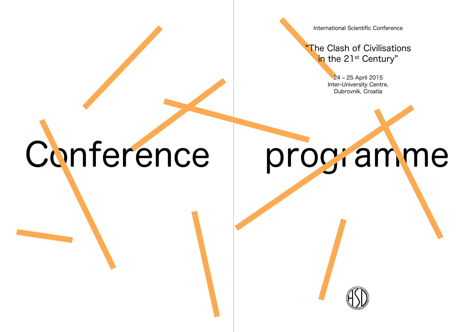International Scientific Conference

"The Clash of Civilisations in the 21<sup>st</sup> Century"

> 24 – 25 April 2015 Inter-University Centre, Dubrovnik, Croatia

Conference programme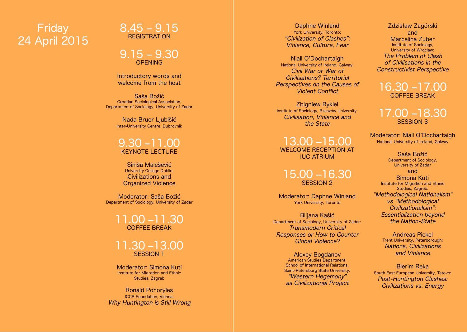# Friday 24 April 2015



 $9.15 - 9.30$ 

Introductory words and welcome from the host

Saša Božić Croatian Sociological Association, Department of Sociology, University of Zadar

> Nada Bruer Ljubišić Inter-University Centre, Dubrovnik

### 9.30 –11.00 KEYNOTE LECTURE

Siniša Malešević University College Dublin: Civilizations and Organized Violence

Moderator: Saša Božić Department of Sociology, University of Zadar

#### 11.00 –11.30 COFFEE BREA

11.30 –13.00 Session 1

Moderator: Simona Kuti Institute for Migration and Ethnic Studies, Zagreb

Ronald Pohoryles ICCR Foundation, Vienna: Why Huntington is Still Wrong

Daphne Winland<br>York University, Toronto: "Civilization of Clashes": Violence, Culture, Fear

Niall O'Dochartaigh National University of Ireland, Galway: Civil War or War of Civilisations? Territorial Perspectives on the Causes of Violent Conflict

Zbigniew Rykiel Institute of Sociology, Rzeszów University: Civilisation, Violence and the State

13.00 –15.00 WELCOME RECEPTION A IUC ATRIUM

#### 15.00 –16.30 SESSION 2

Moderator: Daphne Winland<br>
York University, Toronto

Biljana Kašić Department of Sociology, University of Zadar: Transmodern Critical Responses or How to Counter Global Violence?

> Alexey Bogdanov American Studies Department, School of International Relations. Saint-Petersburg State University: "Western Hegemony" as Civilizational Project

Zdzisław Zagórski and Marcelina Zuber Institute of Sociology, University of Wroclaw: The Problem of Clash of Civilisations in the Constructivist Perspective

16.30 –17.00 COFFEE BREA

17.00 –18.30 **SESSION 3** 

Moderator: Niall O'Dochartaigh National University of Ireland, Galway

> Saša Božić Department of Sociology, University of Zadar and

Simona Kuti Institute for Migration and Ethnic Studies, Zagreb: "Methodological Nationalism" vs "Methodological Civilizationalism": Essentialization beyond the Nation-State

> Andreas Pickel Trent University, Peterborough: Nations, Civilizations and Violence

Blerim Reka South East European University, Tetovo: Post-Huntington Clashes: Civilizations vs. Energy